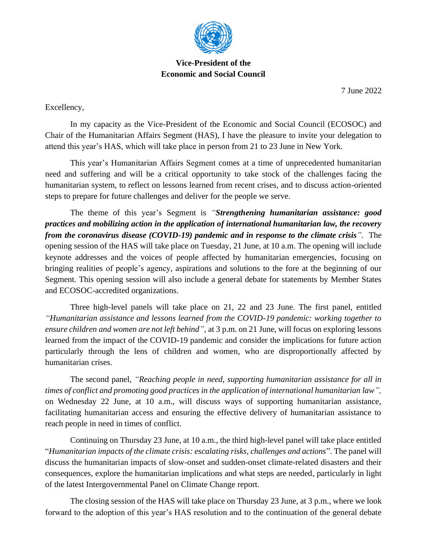

## **Vice-President of the Economic and Social Council**

7 June 2022

Excellency,

In my capacity as the Vice-President of the Economic and Social Council (ECOSOC) and Chair of the Humanitarian Affairs Segment (HAS), I have the pleasure to invite your delegation to attend this year's HAS, which will take place in person from 21 to 23 June in New York.

This year's Humanitarian Affairs Segment comes at a time of unprecedented humanitarian need and suffering and will be a critical opportunity to take stock of the challenges facing the humanitarian system, to reflect on lessons learned from recent crises, and to discuss action-oriented steps to prepare for future challenges and deliver for the people we serve.

The theme of this year's Segment is *"Strengthening humanitarian assistance: good practices and mobilizing action in the application of international humanitarian law, the recovery from the coronavirus disease (COVID-19) pandemic and in response to the climate crisis"*. The opening session of the HAS will take place on Tuesday, 21 June, at 10 a.m. The opening will include keynote addresses and the voices of people affected by humanitarian emergencies, focusing on bringing realities of people's agency, aspirations and solutions to the fore at the beginning of our Segment. This opening session will also include a general debate for statements by Member States and ECOSOC-accredited organizations.

Three high-level panels will take place on 21, 22 and 23 June. The first panel, entitled *"Humanitarian assistance and lessons learned from the COVID-19 pandemic: working together to ensure children and women are not left behind",* at 3 p.m. on 21 June, will focus on exploring lessons learned from the impact of the COVID-19 pandemic and consider the implications for future action particularly through the lens of children and women, who are disproportionally affected by humanitarian crises.

The second panel, *"Reaching people in need, supporting humanitarian assistance for all in times of conflict and promoting good practices in the application of international humanitarian law",* on Wednesday 22 June, at 10 a.m., will discuss ways of supporting humanitarian assistance, facilitating humanitarian access and ensuring the effective delivery of humanitarian assistance to reach people in need in times of conflict.

Continuing on Thursday 23 June, at 10 a.m., the third high-level panel will take place entitled "*Humanitarian impacts of the climate crisis: escalating risks, challenges and actions*". The panel will discuss the humanitarian impacts of slow-onset and sudden-onset climate-related disasters and their consequences, explore the humanitarian implications and what steps are needed, particularly in light of the latest Intergovernmental Panel on Climate Change report.

The closing session of the HAS will take place on Thursday 23 June, at 3 p.m., where we look forward to the adoption of this year's HAS resolution and to the continuation of the general debate